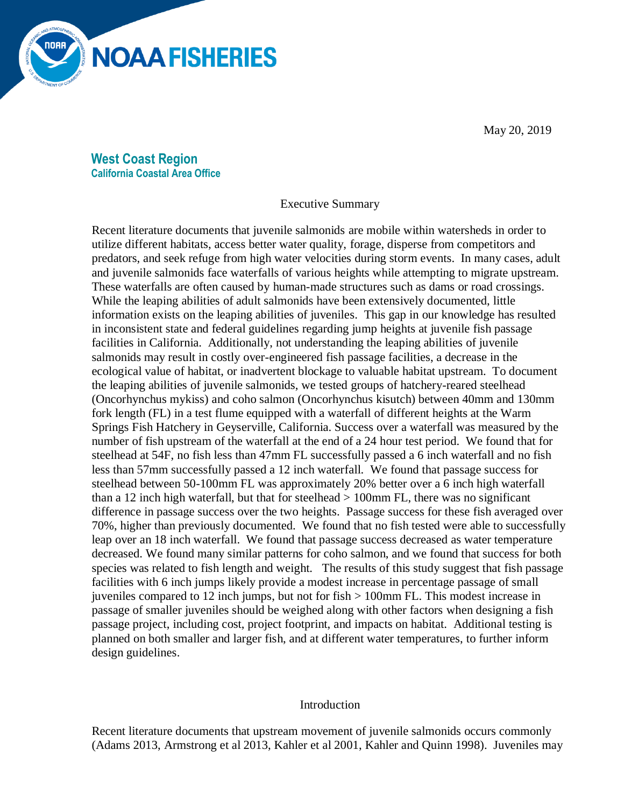

May 20, 2019

**West Coast Region California Coastal Area Office**

Executive Summary

Recent literature documents that juvenile salmonids are mobile within watersheds in order to utilize different habitats, access better water quality, forage, disperse from competitors and predators, and seek refuge from high water velocities during storm events. In many cases, adult and juvenile salmonids face waterfalls of various heights while attempting to migrate upstream. These waterfalls are often caused by human-made structures such as dams or road crossings. While the leaping abilities of adult salmonids have been extensively documented, little information exists on the leaping abilities of juveniles. This gap in our knowledge has resulted in inconsistent state and federal guidelines regarding jump heights at juvenile fish passage facilities in California. Additionally, not understanding the leaping abilities of juvenile salmonids may result in costly over-engineered fish passage facilities, a decrease in the ecological value of habitat, or inadvertent blockage to valuable habitat upstream. To document the leaping abilities of juvenile salmonids, we tested groups of hatchery-reared steelhead (Oncorhynchus mykiss) and coho salmon (Oncorhynchus kisutch) between 40mm and 130mm fork length (FL) in a test flume equipped with a waterfall of different heights at the Warm Springs Fish Hatchery in Geyserville, California. Success over a waterfall was measured by the number of fish upstream of the waterfall at the end of a 24 hour test period. We found that for steelhead at 54F, no fish less than 47mm FL successfully passed a 6 inch waterfall and no fish less than 57mm successfully passed a 12 inch waterfall. We found that passage success for steelhead between 50-100mm FL was approximately 20% better over a 6 inch high waterfall than a 12 inch high waterfall, but that for steelhead  $> 100$ mm FL, there was no significant difference in passage success over the two heights. Passage success for these fish averaged over 70%, higher than previously documented. We found that no fish tested were able to successfully leap over an 18 inch waterfall. We found that passage success decreased as water temperature decreased. We found many similar patterns for coho salmon, and we found that success for both species was related to fish length and weight. The results of this study suggest that fish passage facilities with 6 inch jumps likely provide a modest increase in percentage passage of small juveniles compared to 12 inch jumps, but not for fish > 100mm FL. This modest increase in passage of smaller juveniles should be weighed along with other factors when designing a fish passage project, including cost, project footprint, and impacts on habitat. Additional testing is planned on both smaller and larger fish, and at different water temperatures, to further inform design guidelines.

#### Introduction

Recent literature documents that upstream movement of juvenile salmonids occurs commonly (Adams 2013, Armstrong et al 2013, Kahler et al 2001, Kahler and Quinn 1998). Juveniles may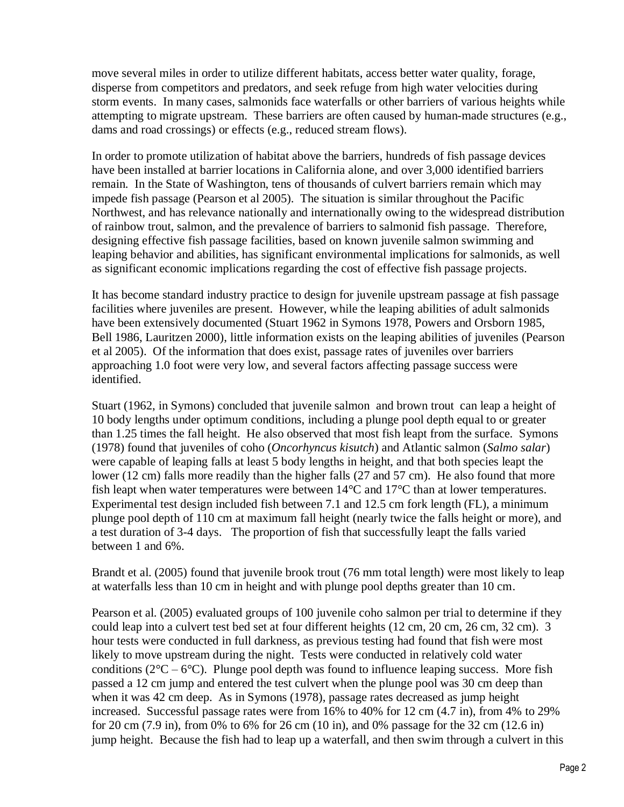move several miles in order to utilize different habitats, access better water quality, forage, disperse from competitors and predators, and seek refuge from high water velocities during storm events. In many cases, salmonids face waterfalls or other barriers of various heights while attempting to migrate upstream. These barriers are often caused by human-made structures (e.g., dams and road crossings) or effects (e.g., reduced stream flows).

In order to promote utilization of habitat above the barriers, hundreds of fish passage devices have been installed at barrier locations in California alone, and over 3,000 identified barriers remain. In the State of Washington, tens of thousands of culvert barriers remain which may impede fish passage (Pearson et al 2005). The situation is similar throughout the Pacific Northwest, and has relevance nationally and internationally owing to the widespread distribution of rainbow trout, salmon, and the prevalence of barriers to salmonid fish passage. Therefore, designing effective fish passage facilities, based on known juvenile salmon swimming and leaping behavior and abilities, has significant environmental implications for salmonids, as well as significant economic implications regarding the cost of effective fish passage projects.

It has become standard industry practice to design for juvenile upstream passage at fish passage facilities where juveniles are present. However, while the leaping abilities of adult salmonids have been extensively documented (Stuart 1962 in Symons 1978, Powers and Orsborn 1985, Bell 1986, Lauritzen 2000), little information exists on the leaping abilities of juveniles (Pearson et al 2005). Of the information that does exist, passage rates of juveniles over barriers approaching 1.0 foot were very low, and several factors affecting passage success were identified.

Stuart (1962, in Symons) concluded that juvenile salmon and brown trout can leap a height of 10 body lengths under optimum conditions, including a plunge pool depth equal to or greater than 1.25 times the fall height. He also observed that most fish leapt from the surface. Symons (1978) found that juveniles of coho (*Oncorhyncus kisutch*) and Atlantic salmon (*Salmo salar*) were capable of leaping falls at least 5 body lengths in height, and that both species leapt the lower (12 cm) falls more readily than the higher falls (27 and 57 cm). He also found that more fish leapt when water temperatures were between 14°C and 17°C than at lower temperatures. Experimental test design included fish between 7.1 and 12.5 cm fork length (FL), a minimum plunge pool depth of 110 cm at maximum fall height (nearly twice the falls height or more), and a test duration of 3-4 days. The proportion of fish that successfully leapt the falls varied between 1 and 6%.

Brandt et al. (2005) found that juvenile brook trout (76 mm total length) were most likely to leap at waterfalls less than 10 cm in height and with plunge pool depths greater than 10 cm.

Pearson et al. (2005) evaluated groups of 100 juvenile coho salmon per trial to determine if they could leap into a culvert test bed set at four different heights (12 cm, 20 cm, 26 cm, 32 cm). 3 hour tests were conducted in full darkness, as previous testing had found that fish were most likely to move upstream during the night. Tests were conducted in relatively cold water conditions ( $2^{\circ}C - 6^{\circ}C$ ). Plunge pool depth was found to influence leaping success. More fish passed a 12 cm jump and entered the test culvert when the plunge pool was 30 cm deep than when it was 42 cm deep. As in Symons (1978), passage rates decreased as jump height increased. Successful passage rates were from 16% to 40% for 12 cm (4.7 in), from 4% to 29% for 20 cm (7.9 in), from 0% to 6% for 26 cm (10 in), and 0% passage for the 32 cm (12.6 in) jump height. Because the fish had to leap up a waterfall, and then swim through a culvert in this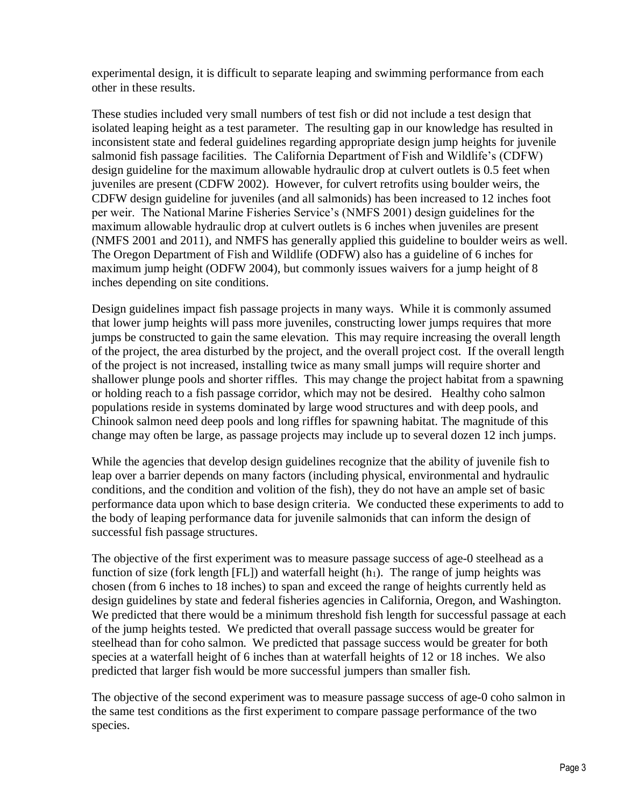experimental design, it is difficult to separate leaping and swimming performance from each other in these results.

These studies included very small numbers of test fish or did not include a test design that isolated leaping height as a test parameter. The resulting gap in our knowledge has resulted in inconsistent state and federal guidelines regarding appropriate design jump heights for juvenile salmonid fish passage facilities. The California Department of Fish and Wildlife's (CDFW) design guideline for the maximum allowable hydraulic drop at culvert outlets is 0.5 feet when juveniles are present (CDFW 2002). However, for culvert retrofits using boulder weirs, the CDFW design guideline for juveniles (and all salmonids) has been increased to 12 inches foot per weir. The National Marine Fisheries Service's (NMFS 2001) design guidelines for the maximum allowable hydraulic drop at culvert outlets is 6 inches when juveniles are present (NMFS 2001 and 2011), and NMFS has generally applied this guideline to boulder weirs as well. The Oregon Department of Fish and Wildlife (ODFW) also has a guideline of 6 inches for maximum jump height (ODFW 2004), but commonly issues waivers for a jump height of 8 inches depending on site conditions.

Design guidelines impact fish passage projects in many ways. While it is commonly assumed that lower jump heights will pass more juveniles, constructing lower jumps requires that more jumps be constructed to gain the same elevation. This may require increasing the overall length of the project, the area disturbed by the project, and the overall project cost. If the overall length of the project is not increased, installing twice as many small jumps will require shorter and shallower plunge pools and shorter riffles. This may change the project habitat from a spawning or holding reach to a fish passage corridor, which may not be desired. Healthy coho salmon populations reside in systems dominated by large wood structures and with deep pools, and Chinook salmon need deep pools and long riffles for spawning habitat. The magnitude of this change may often be large, as passage projects may include up to several dozen 12 inch jumps.

While the agencies that develop design guidelines recognize that the ability of juvenile fish to leap over a barrier depends on many factors (including physical, environmental and hydraulic conditions, and the condition and volition of the fish), they do not have an ample set of basic performance data upon which to base design criteria. We conducted these experiments to add to the body of leaping performance data for juvenile salmonids that can inform the design of successful fish passage structures.

The objective of the first experiment was to measure passage success of age-0 steelhead as a function of size (fork length [FL]) and waterfall height  $(h_1)$ . The range of jump heights was chosen (from 6 inches to 18 inches) to span and exceed the range of heights currently held as design guidelines by state and federal fisheries agencies in California, Oregon, and Washington. We predicted that there would be a minimum threshold fish length for successful passage at each of the jump heights tested. We predicted that overall passage success would be greater for steelhead than for coho salmon. We predicted that passage success would be greater for both species at a waterfall height of 6 inches than at waterfall heights of 12 or 18 inches. We also predicted that larger fish would be more successful jumpers than smaller fish.

The objective of the second experiment was to measure passage success of age-0 coho salmon in the same test conditions as the first experiment to compare passage performance of the two species.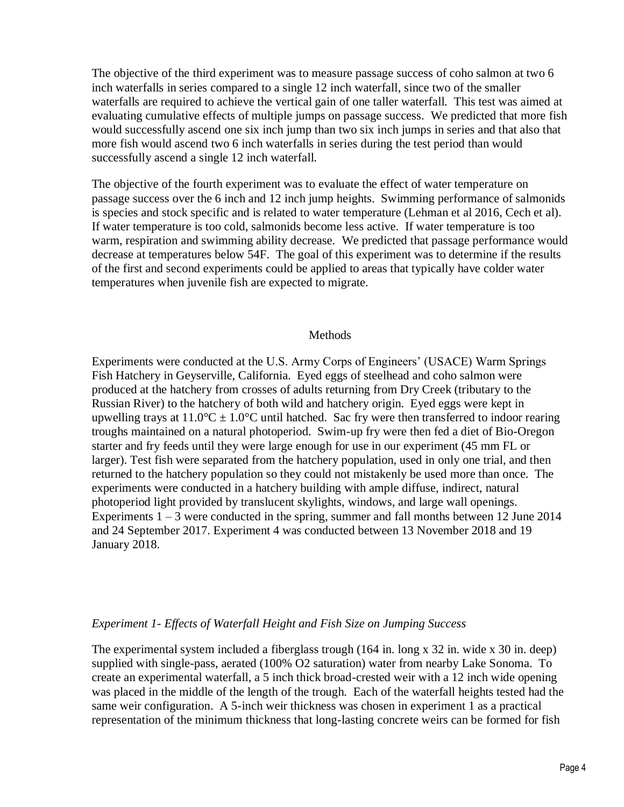The objective of the third experiment was to measure passage success of coho salmon at two 6 inch waterfalls in series compared to a single 12 inch waterfall, since two of the smaller waterfalls are required to achieve the vertical gain of one taller waterfall. This test was aimed at evaluating cumulative effects of multiple jumps on passage success. We predicted that more fish would successfully ascend one six inch jump than two six inch jumps in series and that also that more fish would ascend two 6 inch waterfalls in series during the test period than would successfully ascend a single 12 inch waterfall.

The objective of the fourth experiment was to evaluate the effect of water temperature on passage success over the 6 inch and 12 inch jump heights. Swimming performance of salmonids is species and stock specific and is related to water temperature (Lehman et al 2016, Cech et al). If water temperature is too cold, salmonids become less active. If water temperature is too warm, respiration and swimming ability decrease. We predicted that passage performance would decrease at temperatures below 54F. The goal of this experiment was to determine if the results of the first and second experiments could be applied to areas that typically have colder water temperatures when juvenile fish are expected to migrate.

#### Methods

Experiments were conducted at the U.S. Army Corps of Engineers' (USACE) Warm Springs Fish Hatchery in Geyserville, California. Eyed eggs of steelhead and coho salmon were produced at the hatchery from crosses of adults returning from Dry Creek (tributary to the Russian River) to the hatchery of both wild and hatchery origin. Eyed eggs were kept in upwelling trays at  $11.0^{\circ}\text{C} \pm 1.0^{\circ}\text{C}$  until hatched. Sac fry were then transferred to indoor rearing troughs maintained on a natural photoperiod. Swim-up fry were then fed a diet of Bio-Oregon starter and fry feeds until they were large enough for use in our experiment (45 mm FL or larger). Test fish were separated from the hatchery population, used in only one trial, and then returned to the hatchery population so they could not mistakenly be used more than once. The experiments were conducted in a hatchery building with ample diffuse, indirect, natural photoperiod light provided by translucent skylights, windows, and large wall openings. Experiments  $1 - 3$  were conducted in the spring, summer and fall months between 12 June 2014 and 24 September 2017. Experiment 4 was conducted between 13 November 2018 and 19 January 2018.

#### *Experiment 1- Effects of Waterfall Height and Fish Size on Jumping Success*

The experimental system included a fiberglass trough (164 in. long x 32 in. wide x 30 in. deep) supplied with single-pass, aerated (100% O2 saturation) water from nearby Lake Sonoma. To create an experimental waterfall, a 5 inch thick broad-crested weir with a 12 inch wide opening was placed in the middle of the length of the trough. Each of the waterfall heights tested had the same weir configuration. A 5-inch weir thickness was chosen in experiment 1 as a practical representation of the minimum thickness that long-lasting concrete weirs can be formed for fish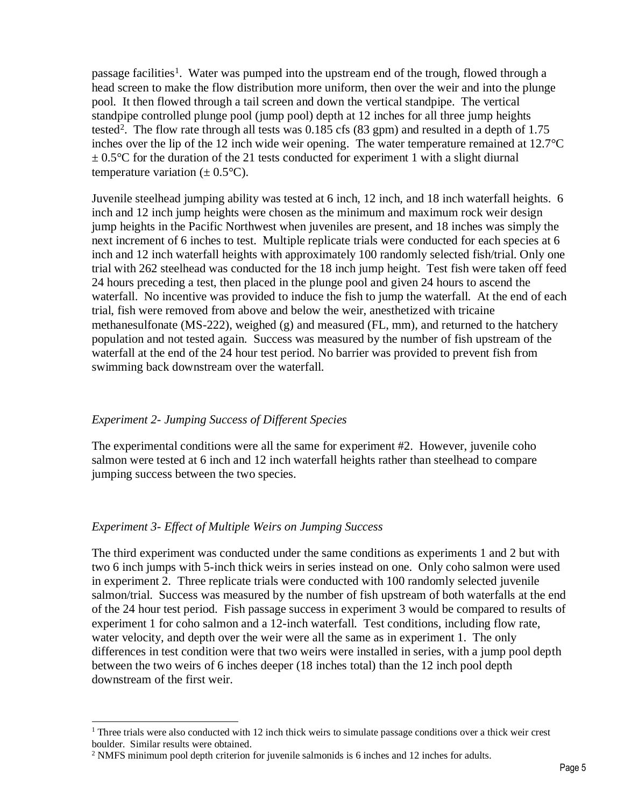passage facilities<sup>1</sup>. Water was pumped into the upstream end of the trough, flowed through a head screen to make the flow distribution more uniform, then over the weir and into the plunge pool. It then flowed through a tail screen and down the vertical standpipe. The vertical standpipe controlled plunge pool (jump pool) depth at 12 inches for all three jump heights tested<sup>2</sup>. The flow rate through all tests was  $0.185$  cfs (83 gpm) and resulted in a depth of 1.75 inches over the lip of the 12 inch wide weir opening. The water temperature remained at 12.7°C  $\pm$  0.5 °C for the duration of the 21 tests conducted for experiment 1 with a slight diurnal temperature variation  $(\pm 0.5^{\circ}C)$ .

Juvenile steelhead jumping ability was tested at 6 inch, 12 inch, and 18 inch waterfall heights. 6 inch and 12 inch jump heights were chosen as the minimum and maximum rock weir design jump heights in the Pacific Northwest when juveniles are present, and 18 inches was simply the next increment of 6 inches to test. Multiple replicate trials were conducted for each species at 6 inch and 12 inch waterfall heights with approximately 100 randomly selected fish/trial. Only one trial with 262 steelhead was conducted for the 18 inch jump height. Test fish were taken off feed 24 hours preceding a test, then placed in the plunge pool and given 24 hours to ascend the waterfall. No incentive was provided to induce the fish to jump the waterfall. At the end of each trial, fish were removed from above and below the weir, anesthetized with tricaine methanesulfonate (MS-222), weighed (g) and measured (FL, mm), and returned to the hatchery population and not tested again. Success was measured by the number of fish upstream of the waterfall at the end of the 24 hour test period. No barrier was provided to prevent fish from swimming back downstream over the waterfall.

## *Experiment 2- Jumping Success of Different Species*

The experimental conditions were all the same for experiment #2. However, juvenile coho salmon were tested at 6 inch and 12 inch waterfall heights rather than steelhead to compare jumping success between the two species.

## *Experiment 3- Effect of Multiple Weirs on Jumping Success*

l

The third experiment was conducted under the same conditions as experiments 1 and 2 but with two 6 inch jumps with 5-inch thick weirs in series instead on one. Only coho salmon were used in experiment 2. Three replicate trials were conducted with 100 randomly selected juvenile salmon/trial. Success was measured by the number of fish upstream of both waterfalls at the end of the 24 hour test period. Fish passage success in experiment 3 would be compared to results of experiment 1 for coho salmon and a 12-inch waterfall. Test conditions, including flow rate, water velocity, and depth over the weir were all the same as in experiment 1. The only differences in test condition were that two weirs were installed in series, with a jump pool depth between the two weirs of 6 inches deeper (18 inches total) than the 12 inch pool depth downstream of the first weir.

<sup>&</sup>lt;sup>1</sup> Three trials were also conducted with 12 inch thick weirs to simulate passage conditions over a thick weir crest boulder. Similar results were obtained.

 $2$  NMFS minimum pool depth criterion for juvenile salmonids is 6 inches and 12 inches for adults.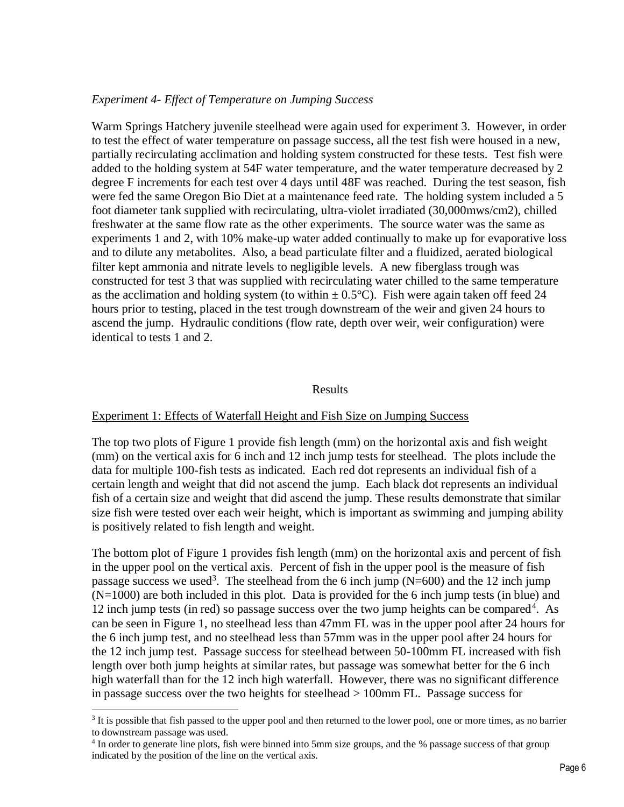### *Experiment 4- Effect of Temperature on Jumping Success*

Warm Springs Hatchery juvenile steelhead were again used for experiment 3. However, in order to test the effect of water temperature on passage success, all the test fish were housed in a new, partially recirculating acclimation and holding system constructed for these tests. Test fish were added to the holding system at 54F water temperature, and the water temperature decreased by 2 degree F increments for each test over 4 days until 48F was reached. During the test season, fish were fed the same Oregon Bio Diet at a maintenance feed rate. The holding system included a 5 foot diameter tank supplied with recirculating, ultra-violet irradiated (30,000mws/cm2), chilled freshwater at the same flow rate as the other experiments. The source water was the same as experiments 1 and 2, with 10% make-up water added continually to make up for evaporative loss and to dilute any metabolites. Also, a bead particulate filter and a fluidized, aerated biological filter kept ammonia and nitrate levels to negligible levels. A new fiberglass trough was constructed for test 3 that was supplied with recirculating water chilled to the same temperature as the acclimation and holding system (to within  $\pm$  0.5°C). Fish were again taken off feed 24 hours prior to testing, placed in the test trough downstream of the weir and given 24 hours to ascend the jump. Hydraulic conditions (flow rate, depth over weir, weir configuration) were identical to tests 1 and 2.

#### Results

#### Experiment 1: Effects of Waterfall Height and Fish Size on Jumping Success

The top two plots of Figure 1 provide fish length (mm) on the horizontal axis and fish weight (mm) on the vertical axis for 6 inch and 12 inch jump tests for steelhead. The plots include the data for multiple 100-fish tests as indicated. Each red dot represents an individual fish of a certain length and weight that did not ascend the jump. Each black dot represents an individual fish of a certain size and weight that did ascend the jump. These results demonstrate that similar size fish were tested over each weir height, which is important as swimming and jumping ability is positively related to fish length and weight.

The bottom plot of Figure 1 provides fish length (mm) on the horizontal axis and percent of fish in the upper pool on the vertical axis. Percent of fish in the upper pool is the measure of fish passage success we used<sup>3</sup>. The steelhead from the 6 inch jump ( $N=600$ ) and the 12 inch jump (N=1000) are both included in this plot. Data is provided for the 6 inch jump tests (in blue) and 12 inch jump tests (in red) so passage success over the two jump heights can be compared<sup>4</sup>. As can be seen in Figure 1, no steelhead less than 47mm FL was in the upper pool after 24 hours for the 6 inch jump test, and no steelhead less than 57mm was in the upper pool after 24 hours for the 12 inch jump test. Passage success for steelhead between 50-100mm FL increased with fish length over both jump heights at similar rates, but passage was somewhat better for the 6 inch high waterfall than for the 12 inch high waterfall. However, there was no significant difference in passage success over the two heights for steelhead > 100mm FL. Passage success for

 $\overline{a}$ 

<sup>&</sup>lt;sup>3</sup> It is possible that fish passed to the upper pool and then returned to the lower pool, one or more times, as no barrier to downstream passage was used.

<sup>&</sup>lt;sup>4</sup> In order to generate line plots, fish were binned into 5mm size groups, and the % passage success of that group indicated by the position of the line on the vertical axis.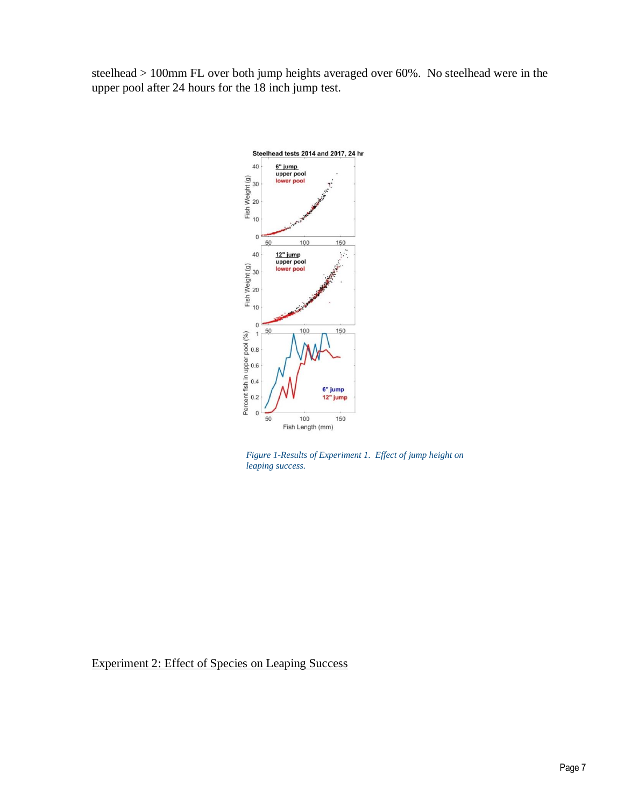steelhead > 100mm FL over both jump heights averaged over 60%. No steelhead were in the upper pool after 24 hours for the 18 inch jump test.



*Figure 1-Results of Experiment 1. Effect of jump height on leaping success.*

Experiment 2: Effect of Species on Leaping Success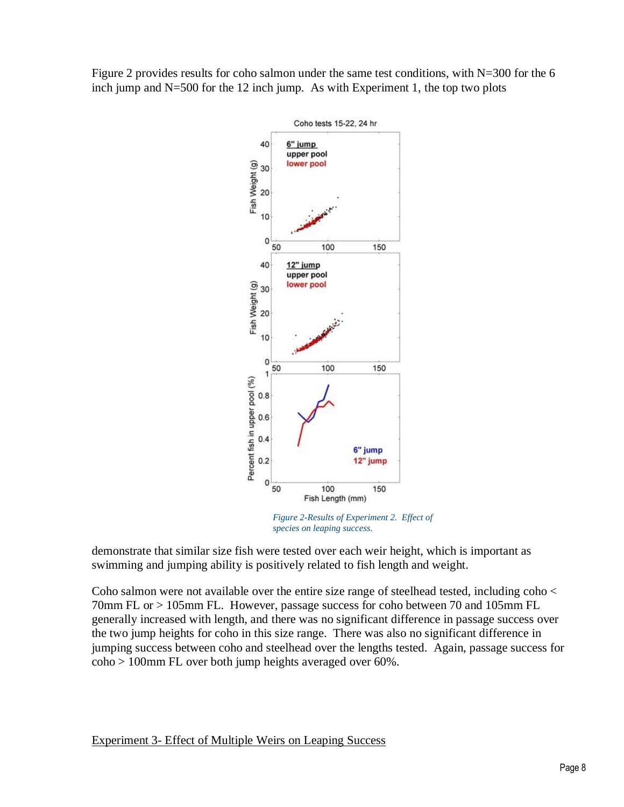Figure 2 provides results for coho salmon under the same test conditions, with N=300 for the 6 inch jump and  $N=500$  for the 12 inch jump. As with Experiment 1, the top two plots



*Figure 2-Results of Experiment 2. Effect of species on leaping success.*

demonstrate that similar size fish were tested over each weir height, which is important as swimming and jumping ability is positively related to fish length and weight.

Coho salmon were not available over the entire size range of steelhead tested, including coho < 70mm FL or > 105mm FL. However, passage success for coho between 70 and 105mm FL generally increased with length, and there was no significant difference in passage success over the two jump heights for coho in this size range. There was also no significant difference in jumping success between coho and steelhead over the lengths tested. Again, passage success for coho > 100mm FL over both jump heights averaged over 60%.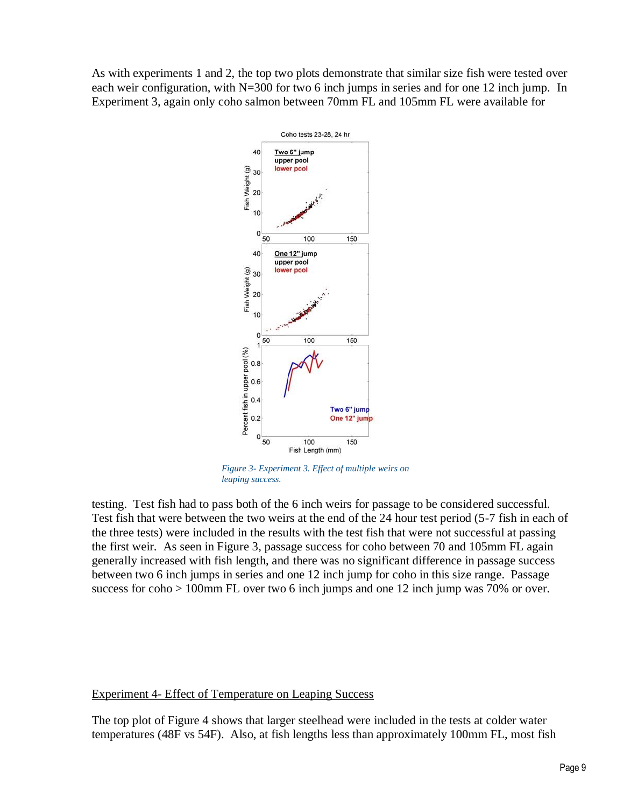As with experiments 1 and 2, the top two plots demonstrate that similar size fish were tested over each weir configuration, with N=300 for two 6 inch jumps in series and for one 12 inch jump. In Experiment 3, again only coho salmon between 70mm FL and 105mm FL were available for



*Figure 3- Experiment 3. Effect of multiple weirs on leaping success.* 

testing. Test fish had to pass both of the 6 inch weirs for passage to be considered successful. Test fish that were between the two weirs at the end of the 24 hour test period (5-7 fish in each of the three tests) were included in the results with the test fish that were not successful at passing the first weir. As seen in Figure 3, passage success for coho between 70 and 105mm FL again generally increased with fish length, and there was no significant difference in passage success between two 6 inch jumps in series and one 12 inch jump for coho in this size range. Passage success for coho > 100mm FL over two 6 inch jumps and one 12 inch jump was 70% or over.

## Experiment 4- Effect of Temperature on Leaping Success

The top plot of Figure 4 shows that larger steelhead were included in the tests at colder water temperatures (48F vs 54F). Also, at fish lengths less than approximately 100mm FL, most fish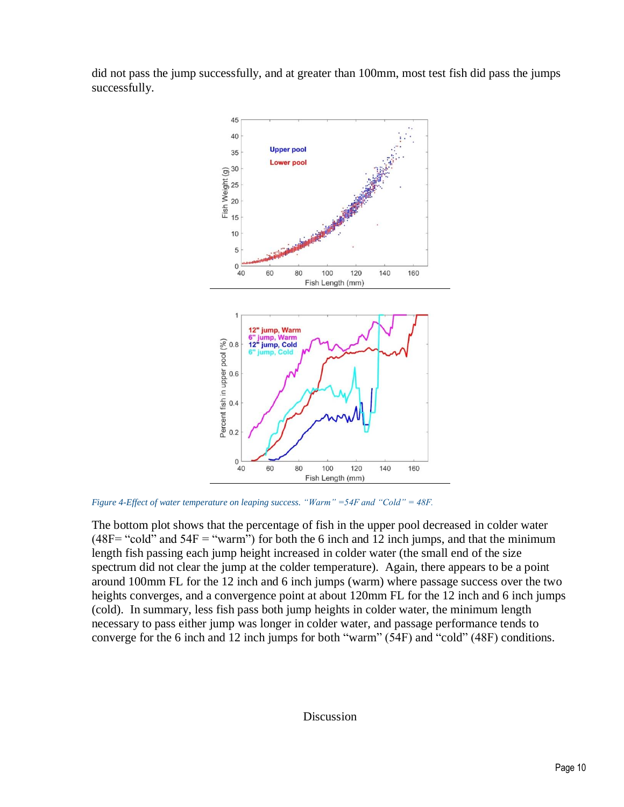did not pass the jump successfully, and at greater than 100mm, most test fish did pass the jumps successfully.



*Figure 4-Effect of water temperature on leaping success. "Warm" =54F and "Cold" = 48F.* 

The bottom plot shows that the percentage of fish in the upper pool decreased in colder water  $(48F=$  "cold" and  $54F=$  "warm") for both the 6 inch and 12 inch jumps, and that the minimum length fish passing each jump height increased in colder water (the small end of the size spectrum did not clear the jump at the colder temperature). Again, there appears to be a point around 100mm FL for the 12 inch and 6 inch jumps (warm) where passage success over the two heights converges, and a convergence point at about 120mm FL for the 12 inch and 6 inch jumps (cold). In summary, less fish pass both jump heights in colder water, the minimum length necessary to pass either jump was longer in colder water, and passage performance tends to converge for the 6 inch and 12 inch jumps for both "warm" (54F) and "cold" (48F) conditions.

#### Discussion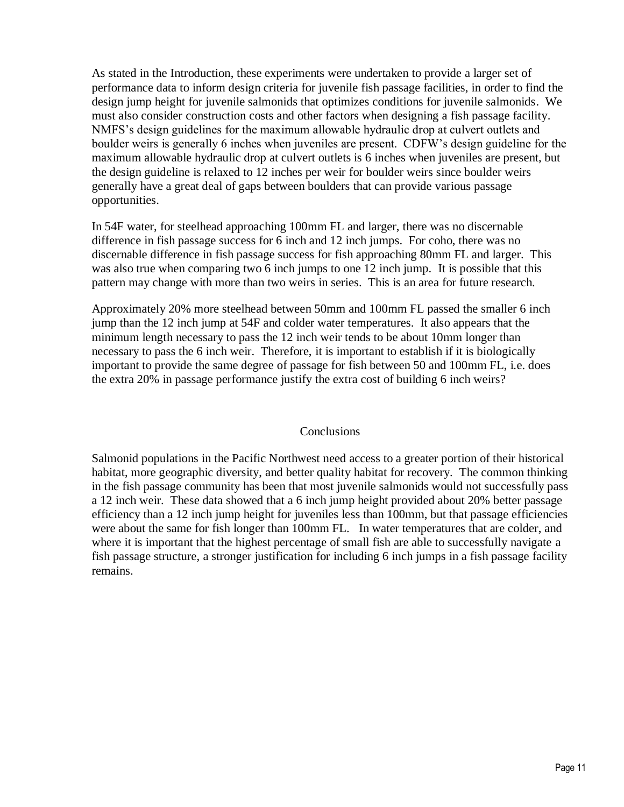As stated in the Introduction, these experiments were undertaken to provide a larger set of performance data to inform design criteria for juvenile fish passage facilities, in order to find the design jump height for juvenile salmonids that optimizes conditions for juvenile salmonids. We must also consider construction costs and other factors when designing a fish passage facility. NMFS's design guidelines for the maximum allowable hydraulic drop at culvert outlets and boulder weirs is generally 6 inches when juveniles are present. CDFW's design guideline for the maximum allowable hydraulic drop at culvert outlets is 6 inches when juveniles are present, but the design guideline is relaxed to 12 inches per weir for boulder weirs since boulder weirs generally have a great deal of gaps between boulders that can provide various passage opportunities.

In 54F water, for steelhead approaching 100mm FL and larger, there was no discernable difference in fish passage success for 6 inch and 12 inch jumps. For coho, there was no discernable difference in fish passage success for fish approaching 80mm FL and larger. This was also true when comparing two 6 inch jumps to one 12 inch jump. It is possible that this pattern may change with more than two weirs in series. This is an area for future research.

Approximately 20% more steelhead between 50mm and 100mm FL passed the smaller 6 inch jump than the 12 inch jump at 54F and colder water temperatures. It also appears that the minimum length necessary to pass the 12 inch weir tends to be about 10mm longer than necessary to pass the 6 inch weir. Therefore, it is important to establish if it is biologically important to provide the same degree of passage for fish between 50 and 100mm FL, i.e. does the extra 20% in passage performance justify the extra cost of building 6 inch weirs?

## **Conclusions**

Salmonid populations in the Pacific Northwest need access to a greater portion of their historical habitat, more geographic diversity, and better quality habitat for recovery. The common thinking in the fish passage community has been that most juvenile salmonids would not successfully pass a 12 inch weir. These data showed that a 6 inch jump height provided about 20% better passage efficiency than a 12 inch jump height for juveniles less than 100mm, but that passage efficiencies were about the same for fish longer than 100mm FL. In water temperatures that are colder, and where it is important that the highest percentage of small fish are able to successfully navigate a fish passage structure, a stronger justification for including 6 inch jumps in a fish passage facility remains.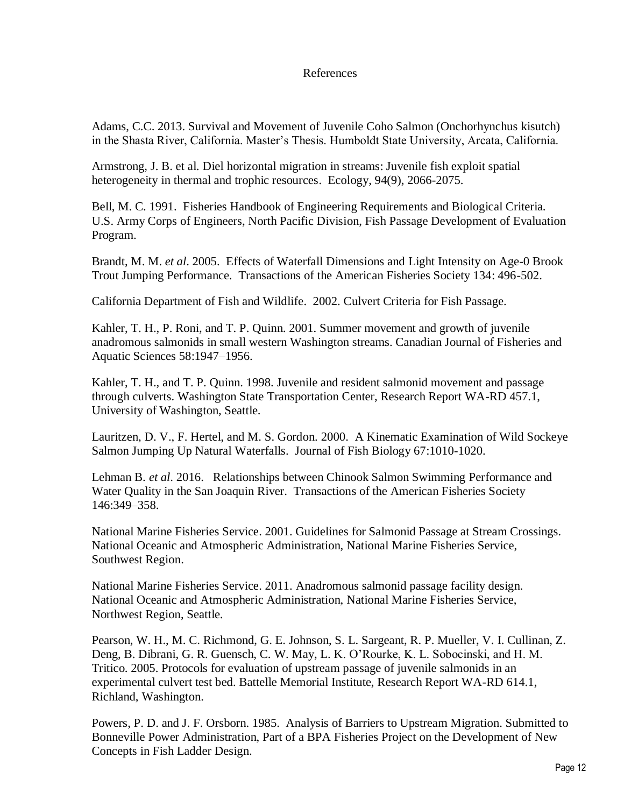# References

Adams, C.C. 2013. Survival and Movement of Juvenile Coho Salmon (Onchorhynchus kisutch) in the Shasta River, California. Master's Thesis. Humboldt State University, Arcata, California.

Armstrong, J. B. et al. Diel horizontal migration in streams: Juvenile fish exploit spatial heterogeneity in thermal and trophic resources. Ecology, 94(9), 2066-2075.

Bell, M. C. 1991. Fisheries Handbook of Engineering Requirements and Biological Criteria. U.S. Army Corps of Engineers, North Pacific Division, Fish Passage Development of Evaluation Program.

Brandt, M. M. *et al*. 2005. Effects of Waterfall Dimensions and Light Intensity on Age-0 Brook Trout Jumping Performance. Transactions of the American Fisheries Society 134: 496-502.

California Department of Fish and Wildlife. 2002. Culvert Criteria for Fish Passage.

Kahler, T. H., P. Roni, and T. P. Quinn. 2001. Summer movement and growth of juvenile anadromous salmonids in small western Washington streams. Canadian Journal of Fisheries and Aquatic Sciences 58:1947–1956.

Kahler, T. H., and T. P. Quinn. 1998. Juvenile and resident salmonid movement and passage through culverts. Washington State Transportation Center, Research Report WA-RD 457.1, University of Washington, Seattle.

Lauritzen, D. V., F. Hertel, and M. S. Gordon. 2000. A Kinematic Examination of Wild Sockeye Salmon Jumping Up Natural Waterfalls. Journal of Fish Biology 67:1010-1020.

Lehman B. *et al*. 2016. Relationships between Chinook Salmon Swimming Performance and Water Quality in the San Joaquin River. Transactions of the American Fisheries Society 146:349–358.

National Marine Fisheries Service. 2001. Guidelines for Salmonid Passage at Stream Crossings. National Oceanic and Atmospheric Administration, National Marine Fisheries Service, Southwest Region.

National Marine Fisheries Service. 2011. Anadromous salmonid passage facility design. National Oceanic and Atmospheric Administration, National Marine Fisheries Service, Northwest Region, Seattle.

Pearson, W. H., M. C. Richmond, G. E. Johnson, S. L. Sargeant, R. P. Mueller, V. I. Cullinan, Z. Deng, B. Dibrani, G. R. Guensch, C. W. May, L. K. O'Rourke, K. L. Sobocinski, and H. M. Tritico. 2005. Protocols for evaluation of upstream passage of juvenile salmonids in an experimental culvert test bed. Battelle Memorial Institute, Research Report WA-RD 614.1, Richland, Washington.

Powers, P. D. and J. F. Orsborn. 1985. Analysis of Barriers to Upstream Migration. Submitted to Bonneville Power Administration, Part of a BPA Fisheries Project on the Development of New Concepts in Fish Ladder Design.